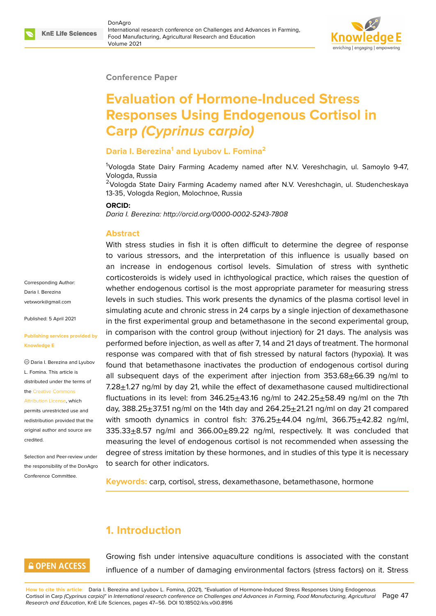

#### **Conference Paper**

# **Evaluation of Hormone-Induced Stress Responses Using Endogenous Cortisol in Carp** *(Cyprinus carpio)*

#### **Daria I. Berezina<sup>1</sup> and Lyubov L. Fomina<sup>2</sup>**

<sup>1</sup>Vologda State Dairy Farming Academy named after N.V. Vereshchagin, ul. Samoylo 9-47, Vologda, Russia

<sup>2</sup>Vologda State Dairy Farming Academy named after N.V. Vereshchagin, ul. Studencheskaya 13-35, Vologda Region, Molochnoe, Russia

#### **ORCID:**

*Daria I. Berezina: http://orcid.org/0000-0002-5243-7808*

#### **Abstract**

With stress studies in fish it is often difficult to determine the degree of response to various stressors, and the interpretation of this influence is usually based on an increase in endogenous cortisol levels. Simulation of stress with synthetic corticosteroids is widely used in ichthyological practice, which raises the question of whether endogenous cortisol is the most appropriate parameter for measuring stress levels in such studies. This work presents the dynamics of the plasma cortisol level in simulating acute and chronic stress in 24 carps by a single injection of dexamethasone in the first experimental group and betamethasone in the second experimental group, in comparison with the control group (without injection) for 21 days. The analysis was performed before injection, as well as after 7, 14 and 21 days of treatment. The hormonal response was compared with that of fish stressed by natural factors (hypoxia). It was found that betamethasone inactivates the production of endogenous cortisol during all subsequent days of the experiment after injection from  $353.68\pm66.39$  ng/ml to  $7.28\pm1.27$  ng/ml by day 21, while the effect of dexamethasone caused multidirectional fluctuations in its level: from  $346.25 \pm 43.16$  ng/ml to  $242.25 \pm 58.49$  ng/ml on the 7th day,  $388.25\pm37.51$  ng/ml on the 14th day and  $264.25\pm21.21$  ng/ml on day 21 compared with smooth dynamics in control fish:  $376.25 \pm 44.04$  ng/ml,  $366.75 \pm 42.82$  ng/ml,  $335.33\pm8.57$  ng/ml and  $366.00\pm89.22$  ng/ml, respectively. It was concluded that measuring the level of endogenous cortisol is not recommended when assessing the degree of stress imitation by these hormones, and in studies of this type it is necessary to search for other indicators.

**Keywords:** carp, cortisol, stress, dexamethasone, betamethasone, hormone

# **1. Introduction**

#### **GOPEN ACCESS**

Growing fish under intensive aquaculture conditions is associated with the constant influence of a number of damaging environmental factors (stress factors) on it. Stress

**How to cite this article**: Daria I. Berezina and Lyubov L. Fomina, (2021), "Evaluation of Hormone-Induced Stress Responses Using Endogenous Cortisol in Carp *(Cyprinus carpio)*" in *International research conference on Challenges and Advances in Farming, Food Manufacturing, Agricultural* Page 47 *Research and Education*, KnE Life Sciences, pages 47–56. DOI 10.18502/kls.v0i0.8916

Corresponding Author: Daria I. Berezina vetxwork@gmail.com

Published: 5 April 2021

#### **[Publishing services p](mailto:vetxwork@gmail.com)rovided by Knowledge E**

Daria I. Berezina and Lyubov L. Fomina. This article is distributed under the terms of the Creative Commons

Attribution License, which permits unrestricted use and redistribution provided that the orig[inal author and sou](https://creativecommons.org/licenses/by/4.0/)rce are [credited.](https://creativecommons.org/licenses/by/4.0/)

Selection and Peer-review under the responsibility of the DonAgro Conference Committee.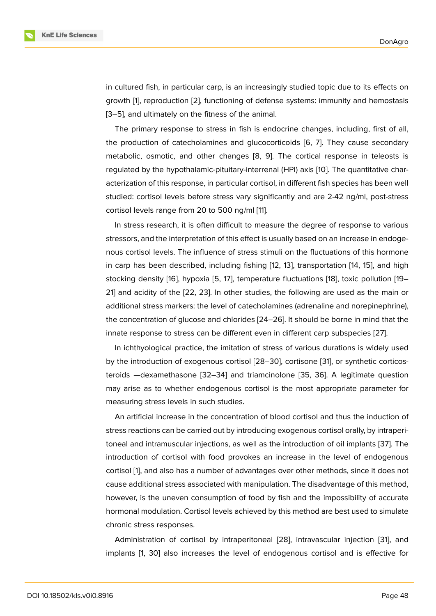in cultured fish, in particular carp, is an increasingly studied topic due to its effects on growth [1], reproduction [2], functioning of defense systems: immunity and hemostasis [3–5], and ultimately on the fitness of the animal.

The primary response to stress in fish is endocrine changes, including, first of all, the pro[du](#page-6-0)ction of catec[ho](#page-6-1)lamines and glucocorticoids [6, 7]. They cause secondary [me](#page-6-2)[ta](#page-7-0)bolic, osmotic, and other changes [8, 9]. The cortical response in teleosts is regulated by the hypothalamic-pituitary-interrenal (HPI) axis [10]. The quantitative characterization of this response, in particular cortisol, in differ[en](#page-7-1)[t f](#page-7-2)ish species has been well studied: cortisol levels before stress vary [sig](#page-7-3)[ni](#page-7-4)ficantly and are 2-42 ng/ml, post-stress cortisol levels range from 20 to 500 ng/ml [11].

In stress research, it is often difficult to measure the degree of response to various stressors, and the interpretation of this effect is usually based on an increase in endogenous cortisol levels. The influence of stress [st](#page-7-5)imuli on the fluctuations of this hormone in carp has been described, including fishing [12, 13], transportation [14, 15], and high stocking density [16], hypoxia [5, 17], temperature fluctuations [18], toxic pollution [19– 21] and acidity of the [22, 23]. In other studies, the following are used as the main or additional stress markers: the level of catechol[ami](#page-7-6)[nes](#page-7-7) (adrenaline and [no](#page-7-8)[rep](#page-7-9)inephrine), the concentration [of](#page-7-10) glucose a[nd](#page-7-0) [ch](#page-7-11)lorides [24–26]. It should b[e b](#page-7-12)orne in mind that [th](#page-8-0)e [inn](#page-8-1)ate response to str[ess](#page-8-2) [can](#page-8-3) be different even in different carp subspecies [27].

In ichthyological practice, the imitation of stress of various durations is widely used by the introduction of exogenous cortisol [[28–](#page-8-4)[30\],](#page-8-5) cortisone [31], or synthetic corticosteroids —dexamethasone [32–34] and triamcinolone [35, 36]. A legitimate [qu](#page-8-6)estion may arise as to whether endogenous cortisol is the most appropriate parameter for measuring stress levels in such studies.

An artificial increase in t[he c](#page-9-0)[onc](#page-9-1)entration of blood c[ortis](#page-9-2)[ol a](#page-9-3)nd thus the induction of stress reactions can be carried out by introducing exogenous cortisol orally, by intraperitoneal and intramuscular injections, as well as the introduction of oil implants [37]. The introduction of cortisol with food provokes an increase in the level of endogenous cortisol [1], and also has a number of advantages over other methods, since it does not cause additional stress associated with manipulation. The disadvantage of this [me](#page-9-4)thod, however, is the uneven consumption of food by fish and the impossibility of accurate hormon[al](#page-6-0) modulation. Cortisol levels achieved by this method are best used to simulate chronic stress responses.

Administration of cortisol by intraperitoneal [28], intravascular injection [31], and implants [1, 30] also increases the level of endogenous cortisol and is effective for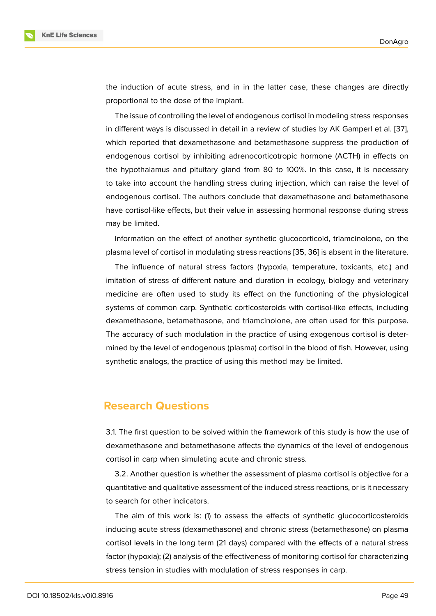the induction of acute stress, and in in the latter case, these changes are directly proportional to the dose of the implant.

The issue of controlling the level of endogenous cortisol in modeling stress responses in different ways is discussed in detail in a review of studies by AK Gamperl et al. [37], which reported that dexamethasone and betamethasone suppress the production of endogenous cortisol by inhibiting adrenocorticotropic hormone (ACTH) in effects on the hypothalamus and pituitary gland from 80 to 100%. In this case, it is neces[sary](#page-9-4) to take into account the handling stress during injection, which can raise the level of endogenous cortisol. The authors conclude that dexamethasone and betamethasone have cortisol-like effects, but their value in assessing hormonal response during stress may be limited.

Information on the effect of another synthetic glucocorticoid, triamcinolone, on the plasma level of cortisol in modulating stress reactions [35, 36] is absent in the literature.

The influence of natural stress factors (hypoxia, temperature, toxicants, etc.) and imitation of stress of different nature and duration in ecology, biology and veterinary medicine are often used to study its effect on the [fun](#page-9-2)[ctio](#page-9-3)ning of the physiological systems of common carp. Synthetic corticosteroids with cortisol-like effects, including dexamethasone, betamethasone, and triamcinolone, are often used for this purpose. The accuracy of such modulation in the practice of using exogenous cortisol is determined by the level of endogenous (plasma) cortisol in the blood of fish. However, using synthetic analogs, the practice of using this method may be limited.

#### **Research Questions**

3.1. The first question to be solved within the framework of this study is how the use of dexamethasone and betamethasone affects the dynamics of the level of endogenous cortisol in carp when simulating acute and chronic stress.

3.2. Another question is whether the assessment of plasma cortisol is objective for a quantitative and qualitative assessment of the induced stress reactions, or is it necessary to search for other indicators.

The aim of this work is: (1) to assess the effects of synthetic glucocorticosteroids inducing acute stress (dexamethasone) and chronic stress (betamethasone) on plasma cortisol levels in the long term (21 days) compared with the effects of a natural stress factor (hypoxia); (2) analysis of the effectiveness of monitoring cortisol for characterizing stress tension in studies with modulation of stress responses in carp.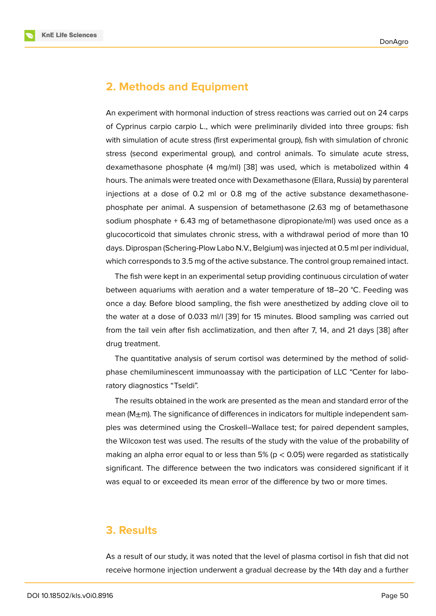### **2. Methods and Equipment**

An experiment with hormonal induction of stress reactions was carried out on 24 carps of Cyprinus carpio carpio L., which were preliminarily divided into three groups: fish with simulation of acute stress (first experimental group), fish with simulation of chronic stress (second experimental group), and control animals. To simulate acute stress, dexamethasone phosphate (4 mg/ml) [38] was used, which is metabolized within 4 hours. The animals were treated once with Dexamethasone (Ellara, Russia) by parenteral injections at a dose of 0.2 ml or 0.8 mg of the active substance dexamethasonephosphate per animal. A suspension o[f be](#page-9-5)tamethasone (2.63 mg of betamethasone sodium phosphate + 6.43 mg of betamethasone dipropionate/ml) was used once as a glucocorticoid that simulates chronic stress, with a withdrawal period of more than 10 days. Diprospan (Schering-Plow Labo N.V., Belgium) was injected at 0.5 ml per individual, which corresponds to 3.5 mg of the active substance. The control group remained intact.

The fish were kept in an experimental setup providing continuous circulation of water between aquariums with aeration and a water temperature of 18–20 °C. Feeding was once a day. Before blood sampling, the fish were anesthetized by adding clove oil to the water at a dose of 0.033 ml/l [39] for 15 minutes. Blood sampling was carried out from the tail vein after fish acclimatization, and then after 7, 14, and 21 days [38] after drug treatment.

The quantitative analysis of ser[um](#page-9-6) cortisol was determined by the method of solidphase chemiluminescent immunoassay with the participation of LLC "Center [for](#page-9-5) laboratory diagnostics "Tseldi".

The results obtained in the work are presented as the mean and standard error of the mean ( $M_{\pm}$ m). The significance of differences in indicators for multiple independent samples was determined using the Croskell–Wallace test; for paired dependent samples, the Wilcoxon test was used. The results of the study with the value of the probability of making an alpha error equal to or less than 5% ( $p < 0.05$ ) were regarded as statistically significant. The difference between the two indicators was considered significant if it was equal to or exceeded its mean error of the difference by two or more times.

## **3. Results**

As a result of our study, it was noted that the level of plasma cortisol in fish that did not receive hormone injection underwent a gradual decrease by the 14th day and a further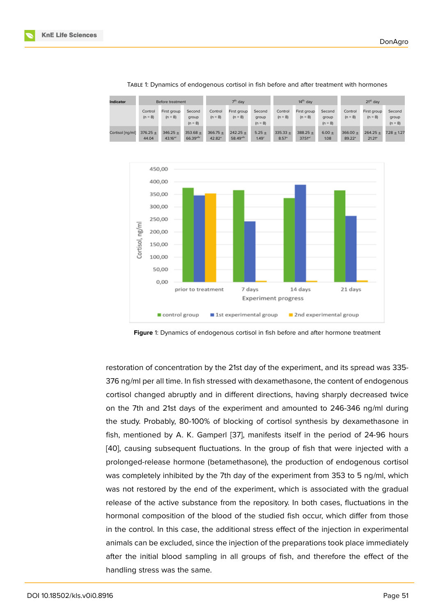

TABLE 1: Dynamics of endogenous cortisol in fish before and after treatment with hormones

**Figure** 1: Dynamics of endogenous cortisol in fish before and after hormone treatment

restoration of concentration by the 21st day of the experiment, and its spread was 335- 376 ng/ml per all time. In fish stressed with dexamethasone, the content of endogenous cortisol changed abruptly and in different directions, having sharply decreased twice on the 7th and 21st days of the experiment and amounted to 246-346 ng/ml during the study. Probably, 80-100% of blocking of cortisol synthesis by dexamethasone in fish, mentioned by A. K. Gamperl [37], manifests itself in the period of 24-96 hours [40], causing subsequent fluctuations. In the group of fish that were injected with a prolonged-release hormone (betamethasone), the production of endogenous cortisol was completely inhibited by the 7th [da](#page-9-4)y of the experiment from 353 to 5 ng/ml, which [was](#page-9-7) not restored by the end of the experiment, which is associated with the gradual release of the active substance from the repository. In both cases, fluctuations in the hormonal composition of the blood of the studied fish occur, which differ from those in the control. In this case, the additional stress effect of the injection in experimental animals can be excluded, since the injection of the preparations took place immediately after the initial blood sampling in all groups of fish, and therefore the effect of the handling stress was the same.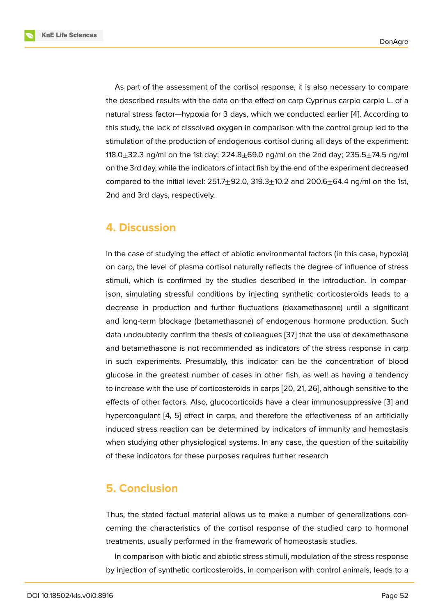As part of the assessment of the cortisol response, it is also necessary to compare the described results with the data on the effect on carp Cyprinus carpio carpio L. of a natural stress factor—hypoxia for 3 days, which we conducted earlier [4]. According to this study, the lack of dissolved oxygen in comparison with the control group led to the stimulation of the production of endogenous cortisol during all days of the experiment: 118.0 $\pm$ 32.3 ng/ml on the 1st day; 224.8 $\pm$ 69.0 ng/ml on the 2nd day; 2[35](#page-6-3).5 $\pm$ 74.5 ng/ml on the 3rd day, while the indicators of intact fish by the end of the experiment decreased compared to the initial level:  $251.7 \pm 92.0$ ,  $319.3 \pm 10.2$  and  $200.6 \pm 64.4$  ng/ml on the 1st, 2nd and 3rd days, respectively.

### **4. Discussion**

In the case of studying the effect of abiotic environmental factors (in this case, hypoxia) on carp, the level of plasma cortisol naturally reflects the degree of influence of stress stimuli, which is confirmed by the studies described in the introduction. In comparison, simulating stressful conditions by injecting synthetic corticosteroids leads to a decrease in production and further fluctuations (dexamethasone) until a significant and long-term blockage (betamethasone) of endogenous hormone production. Such data undoubtedly confirm the thesis of colleagues [37] that the use of dexamethasone and betamethasone is not recommended as indicators of the stress response in carp in such experiments. Presumably, this indicator can be the concentration of blood glucose in the greatest number of cases in other [fish](#page-9-4), as well as having a tendency to increase with the use of corticosteroids in carps [20, 21, 26], although sensitive to the effects of other factors. Also, glucocorticoids have a clear immunosuppressive [3] and hypercoagulant [4, 5] effect in carps, and therefore the effectiveness of an artificially induced stress reaction can be determined by in[dicat](#page-8-7)[ors](#page-8-1) [of](#page-8-5) immunity and hemostasis when studying other physiological systems. In any case, the question of the sui[ta](#page-6-2)bility of these indicato[rs](#page-6-3) [fo](#page-7-0)r these purposes requires further research

### **5. Conclusion**

Thus, the stated factual material allows us to make a number of generalizations concerning the characteristics of the cortisol response of the studied carp to hormonal treatments, usually performed in the framework of homeostasis studies.

In comparison with biotic and abiotic stress stimuli, modulation of the stress response by injection of synthetic corticosteroids, in comparison with control animals, leads to a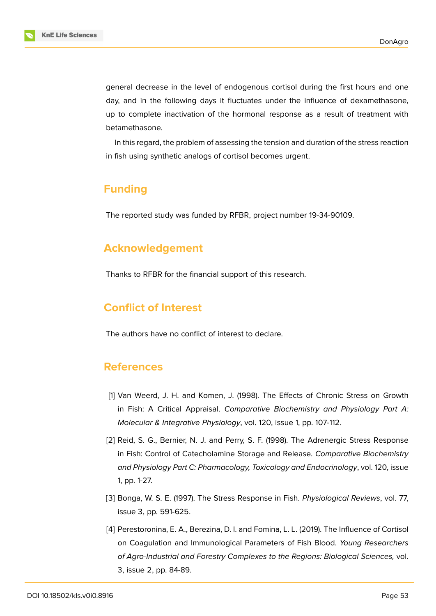general decrease in the level of endogenous cortisol during the first hours and one day, and in the following days it fluctuates under the influence of dexamethasone, up to complete inactivation of the hormonal response as a result of treatment with betamethasone.

In this regard, the problem of assessing the tension and duration of the stress reaction in fish using synthetic analogs of cortisol becomes urgent.

### **Funding**

The reported study was funded by RFBR, project number 19-34-90109.

### **Acknowledgement**

Thanks to RFBR for the financial support of this research.

# **Conflict of Interest**

The authors have no conflict of interest to declare.

### **References**

- <span id="page-6-0"></span>[1] Van Weerd, J. H. and Komen, J. (1998). The Effects of Chronic Stress on Growth in Fish: A Critical Appraisal. *Comparative Biochemistry and Physiology Part A: Molecular & Integrative Physiology*, vol. 120, issue 1, pp. 107-112.
- <span id="page-6-1"></span>[2] Reid, S. G., Bernier, N. J. and Perry, S. F. (1998). The Adrenergic Stress Response in Fish: Control of Catecholamine Storage and Release. *Comparative Biochemistry and Physiology Part C: Pharmacology, Toxicology and Endocrinology*, vol. 120, issue 1, pp. 1-27.
- <span id="page-6-2"></span>[3] Bonga, W. S. E. (1997). The Stress Response in Fish. *Physiological Reviews*, vol. 77, issue 3, pp. 591-625.
- <span id="page-6-3"></span>[4] Perestoronina, E. A., Berezina, D. I. and Fomina, L. L. (2019). The Influence of Cortisol on Coagulation and Immunological Parameters of Fish Blood. *Young Researchers of Agro-Industrial and Forestry Complexes to the Regions: Biological Sciences,* vol. 3, issue 2, pp. 84-89.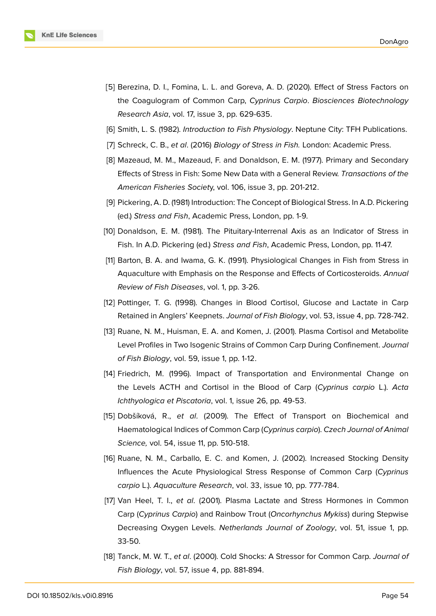

- <span id="page-7-0"></span>[5] Berezina, D. I., Fomina, L. L. and Goreva, A. D. (2020). Effect of Stress Factors on the Coagulogram of Common Carp, *Cyprinus Carpio*. *Biosciences Biotechnology Research Asia*, vol. 17, issue 3, pp. 629-635.
- <span id="page-7-1"></span>[6] Smith, L. S. (1982). *Introduction to Fish Physiology*. Neptune City: TFH Publications.
- <span id="page-7-2"></span>[7] Schreck, C. B., *et al*. (2016) *Biology of Stress in Fish.* London: Academic Press.
- <span id="page-7-3"></span>[8] Mazeaud, M. M., Mazeaud, F. and Donaldson, E. M. (1977). Primary and Secondary Effects of Stress in Fish: Some New Data with a General Review. *Transactions of the American Fisheries Societ*y, vol. 106, issue 3, pp. 201-212.
- <span id="page-7-4"></span>[9] Pickering, A. D. (1981) Introduction: The Concept of Biological Stress. In A.D. Pickering (ed.) *Stress and Fish*, Academic Press, London, pp. 1-9.
- [10] Donaldson, E. M. (1981). The Pituitary-Interrenal Axis as an Indicator of Stress in Fish. In A.D. Pickering (ed.) *Stress and Fish*, Academic Press, London, pp. 11-47.
- <span id="page-7-5"></span>[11] Barton, B. A. and Iwama, G. K. (1991). Physiological Changes in Fish from Stress in Aquaculture with Emphasis on the Response and Effects of Corticosteroids. *Annual Review of Fish Diseases*, vol. 1, pp. 3-26.
- <span id="page-7-6"></span>[12] Pottinger, T. G. (1998). Changes in Blood Cortisol, Glucose and Lactate in Carp Retained in Anglers' Keepnets. *Journal of Fish Biology*, vol. 53, issue 4, pp. 728-742.
- <span id="page-7-7"></span>[13] Ruane, N. M., Huisman, E. A. and Komen, J. (2001). Plasma Cortisol and Metabolite Level Profiles in Two Isogenic Strains of Common Carp During Confinement. *Journal of Fish Biology*, vol. 59, issue 1, pp. 1-12.
- <span id="page-7-8"></span>[14] Friedrich, M. (1996). Impact of Transportation and Environmental Change on the Levels ACTH and Cortisol in the Blood of Carp (*Cyprinus carpio* L.). *Acta Ichthyologica et Piscatoria*, vol. 1, issue 26, pp. 49-53.
- <span id="page-7-9"></span>[15] Dobšíková, R., *et al*. (2009). The Effect of Transport on Biochemical and Haematological Indices of Common Carp (*Cyprinus carpio*). *Czech Journal of Animal Science,* vol. 54, issue 11, pp. 510-518.
- <span id="page-7-10"></span>[16] Ruane, N. M., Carballo, E. C. and Komen, J. (2002). Increased Stocking Density Influences the Acute Physiological Stress Response of Common Carp (*Cyprinus carpio* L.). *Aquaculture Research*, vol. 33, issue 10, pp. 777-784.
- <span id="page-7-11"></span>[17] Van Heel, T. I., *et al*. (2001). Plasma Lactate and Stress Hormones in Common Carp (*Cyprinus Carpio*) and Rainbow Trout (*Oncorhynchus Mykiss*) during Stepwise Decreasing Oxygen Levels. *Netherlands Journal of Zoology*, vol. 51, issue 1, pp. 33-50.
- <span id="page-7-12"></span>[18] Tanck, M. W. T., *et al*. (2000). Cold Shocks: A Stressor for Common Carp. *Journal of Fish Biology*, vol. 57, issue 4, pp. 881-894.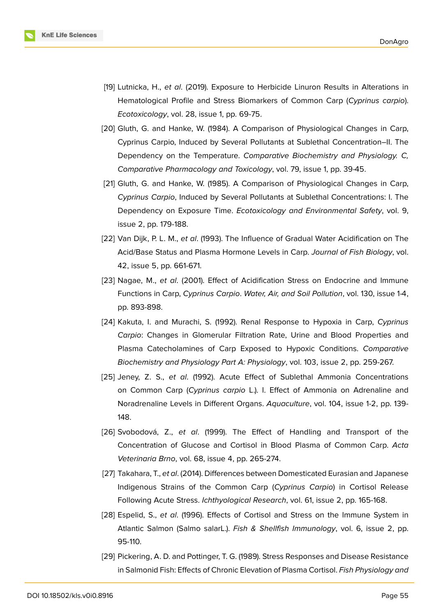

- <span id="page-8-0"></span>[19] Lutnicka, H., *et al*. (2019). Exposure to Herbicide Linuron Results in Alterations in Hematological Profile and Stress Biomarkers of Common Carp (*Cyprinus carpio*). *Ecotoxicology*, vol. 28, issue 1, pp. 69-75.
- <span id="page-8-7"></span>[20] Gluth, G. and Hanke, W. (1984). A Comparison of Physiological Changes in Carp, Cyprinus Carpio, Induced by Several Pollutants at Sublethal Concentration–II. The Dependency on the Temperature. *Comparative Biochemistry and Physiology. C, Comparative Pharmacology and Toxicology*, vol. 79, issue 1, pp. 39-45.
- <span id="page-8-1"></span>[21] Gluth, G. and Hanke, W. (1985). A Comparison of Physiological Changes in Carp, *Cyprinus Carpio*, Induced by Several Pollutants at Sublethal Concentrations: I. The Dependency on Exposure Time. *Ecotoxicology and Environmental Safety*, vol. 9, issue 2, pp. 179-188.
- <span id="page-8-2"></span>[22] Van Dijk, P. L. M., *et al*. (1993). The Influence of Gradual Water Acidification on The Acid/Base Status and Plasma Hormone Levels in Carp. *Journal of Fish Biology*, vol. 42, issue 5, pp. 661-671.
- <span id="page-8-3"></span>[23] Nagae, M., *et al*. (2001). Effect of Acidification Stress on Endocrine and Immune Functions in Carp, *Cyprinus Carpio*. *Water, Air, and Soil Pollution*, vol. 130, issue 1-4, pp. 893-898.
- <span id="page-8-4"></span>[24] Kakuta, I. and Murachi, S. (1992). Renal Response to Hypoxia in Carp, *Cyprinus Carpio*: Changes in Glomerular Filtration Rate, Urine and Blood Properties and Plasma Catecholamines of Carp Exposed to Hypoxic Conditions. *Comparative Biochemistry and Physiology Part A: Physiology*, vol. 103, issue 2, pp. 259-267.
- [25] Jeney, Z. S., *et al*. (1992). Acute Effect of Sublethal Ammonia Concentrations on Common Carp (*Cyprinus carpio* L.). I. Effect of Ammonia on Adrenaline and Noradrenaline Levels in Different Organs. *Aquaculture*, vol. 104, issue 1-2, pp. 139- 148.
- <span id="page-8-5"></span>[26] Svobodová, Z., *et al*. (1999). The Effect of Handling and Transport of the Concentration of Glucose and Cortisol in Blood Plasma of Common Carp. *Acta Veterinaria Brno*, vol. 68, issue 4, pp. 265-274.
- <span id="page-8-6"></span>[27] Takahara, T., *et al*. (2014). Differences between Domesticated Eurasian and Japanese Indigenous Strains of the Common Carp (*Cyprinus Carpio*) in Cortisol Release Following Acute Stress. *Ichthyological Research*, vol. 61, issue 2, pp. 165-168.
- [28] Espelid, S., *et al*. (1996). Effects of Cortisol and Stress on the Immune System in Atlantic Salmon (Salmo salarL.). *Fish & Shellfish Immunology*, vol. 6, issue 2, pp. 95-110.
- [29] Pickering, A. D. and Pottinger, T. G. (1989). Stress Responses and Disease Resistance in Salmonid Fish: Effects of Chronic Elevation of Plasma Cortisol. *Fish Physiology and*